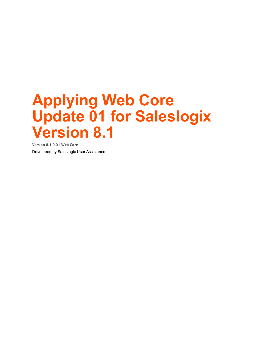**Version 8.1.0.01 Web Core** Developed by Saleslogix User Assistance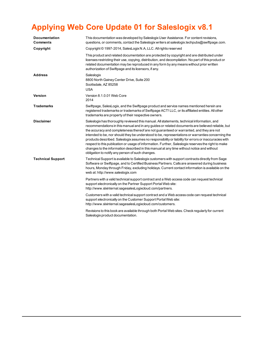| Documentation<br>Comments | This documentation was developed by Saleslogix User Assistance. For content revisions,<br>questions, or comments, contact the Saleslogix writers at saleslogix techpubs@swiftpage.com.                                                                                                                                                                                                                                                                                                                                                                                                                                                                                                                                                                           |
|---------------------------|------------------------------------------------------------------------------------------------------------------------------------------------------------------------------------------------------------------------------------------------------------------------------------------------------------------------------------------------------------------------------------------------------------------------------------------------------------------------------------------------------------------------------------------------------------------------------------------------------------------------------------------------------------------------------------------------------------------------------------------------------------------|
| Copyright                 | Copyright © 1997-2014, SalesLogix N.A, LLC. All rights reserved                                                                                                                                                                                                                                                                                                                                                                                                                                                                                                                                                                                                                                                                                                  |
|                           | This product and related documentation are protected by copyright and are distributed under<br>licenses restricting their use, copying, distribution, and decompilation. No part of this product or<br>related documentation may be reproduced in any form by any means without prior written<br>authorization of Swiftpage and its licensors, if any.                                                                                                                                                                                                                                                                                                                                                                                                           |
| <b>Address</b>            | Saleslogix<br>8800 North Gainey Center Drive, Suite 200<br>Scottsdale, AZ 85258<br><b>USA</b>                                                                                                                                                                                                                                                                                                                                                                                                                                                                                                                                                                                                                                                                    |
| Version                   | Version 8.1.0.01 Web Core<br>2014                                                                                                                                                                                                                                                                                                                                                                                                                                                                                                                                                                                                                                                                                                                                |
| <b>Trademarks</b>         | Swiftpage, SalesLogix, and the Swiftpage product and service names mentioned herein are<br>registered trademarks or trademarks of Swiftpage ACT! LLC, or its affiliated entities. All other<br>trademarks are property of their respective owners.                                                                                                                                                                                                                                                                                                                                                                                                                                                                                                               |
| <b>Disclaimer</b>         | Saleslogix has thoroughly reviewed this manual. All statements, technical information, and<br>recommendations in this manual and in any guides or related documents are believed reliable, but<br>the accuracy and completeness thereof are not guaranteed or warranted, and they are not<br>intended to be, nor should they be understood to be, representations or warranties concerning the<br>products described. Saleslogix assumes no responsibility or liability for errors or inaccuracies with<br>respect to this publication or usage of information. Further, Saleslogix reserves the right to make<br>changes to the information described in this manual at any time without notice and without<br>obligation to notify any person of such changes. |
| <b>Technical Support</b>  | Technical Support is available to Saleslogix customers with support contracts directly from Sage<br>Software or Swiftpage, and to Certified Business Partners. Calls are answered during business<br>hours, Monday through Friday, excluding holidays. Current contact information is available on the<br>web at: http://www.saleslogix.com                                                                                                                                                                                                                                                                                                                                                                                                                      |
|                           | Partners with a valid technical support contract and a Web access code can request technical<br>support electronically on the Partner Support Portal Web site:<br>http://www.slxinternal.sagesalesLogixcloud.com/partners.                                                                                                                                                                                                                                                                                                                                                                                                                                                                                                                                       |
|                           | Customers with a valid technical support contract and a Web access code can request technical<br>support electronically on the Customer Support Portal Web site:<br>http://www.slxinternal.sagesalesLogixcloud.com/customers.                                                                                                                                                                                                                                                                                                                                                                                                                                                                                                                                    |
|                           | Revisions to this book are available through both Portal Web sites. Check regularly for current<br>Saleslogix product documentation.                                                                                                                                                                                                                                                                                                                                                                                                                                                                                                                                                                                                                             |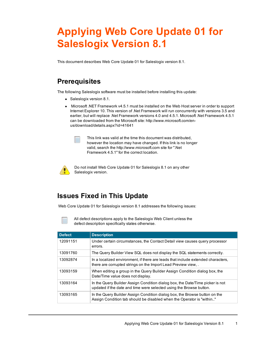This document describes Web Core Update 01 for Saleslogix version 8.1.

#### **Prerequisites**

The following Saleslogix software must be installed before installing this update:

- $\bullet$  Saleslogix version 8.1.
- Microsoft .NET Framework v4.5.1 must be installed on the Web Host server in order to support Internet Explorer 10. This version of .Net Framework will run concurrently with versions 3.5 and earlier, but will replace .Net Framework versions 4.0 and 4.5.1. Microsoft .Net Framework 4.5.1 can be downloaded from the Microsoft site: http://www.microsoft.com/en[us/download/details.aspx?id=41641](http://www.microsoft.com/en-us/download/details.aspx?id=30653)



This link was valid at the time this document was distributed, however the location may have changed. If this link is no longer valid, search the http://www.microsoft.com site for ".Net Framework 4.5.1" for the correct location.



Do not install Web Core Update 01 for Saleslogix 8.1 on any other Saleslogix version.

### **Issues Fixed in This Update**

Web Core Update 01 for Saleslogix version 8.1 addresses the following issues:

All defect descriptions apply to the Saleslogix Web Client unless the defect description specifically states otherwise.

| <b>Defect</b> | <b>Description</b>                                                                                                                                   |
|---------------|------------------------------------------------------------------------------------------------------------------------------------------------------|
| 12091151      | Under certain circumstances, the Contact Detail view causes query processor<br>errors.                                                               |
| 13091760      | The Query Builder View SQL does not display the SQL statements correctly.                                                                            |
| 13092874      | In a localized environment, if there are leads that include extended characters,<br>there are corrupted strings on the Import Lead Preview view      |
| 13093159      | When editing a group in the Query Builder Assign Condition dialog box, the<br>Date/Time value does not display.                                      |
| 13093164      | In the Query Builder Assign Condition dialog box, the Date/Time picker is not<br>updated if the date and time were selected using the Browse button. |
| 13093165      | In the Query Builder Assign Condition dialog box, the Browse button on the<br>Assign Condition tab should be disabled when the Operator is "within"  |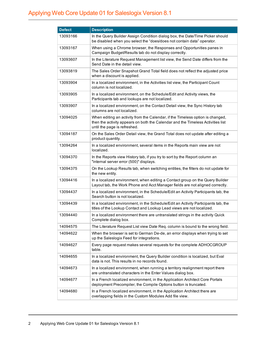| <b>Defect</b> | <b>Description</b>                                                                                                                                                                                |
|---------------|---------------------------------------------------------------------------------------------------------------------------------------------------------------------------------------------------|
| 13093166      | In the Query Builder Assign Condition dialog box, the Date/Time Picker should<br>be disabled when you select the "does/does not contain data" operator.                                           |
| 13093167      | When using a Chrome browser, the Responses and Opportunities panes in<br>Campaign Budget/Results tab do not display correctly.                                                                    |
| 13093607      | In the Literature Request Management list view, the Send Date differs from the<br>Send Date in the detail view.                                                                                   |
| 13093819      | The Sales Order Snapshot Grand Total field does not reflect the adjusted price<br>when a discount is applied.                                                                                     |
| 13093904      | In a localized environment, in the Activities list view, the Participant Count<br>column is not localized.                                                                                        |
| 13093905      | In a localized environment, on the Schedule/Edit and Activity views, the<br>Participants tab and lookups are not localized.                                                                       |
| 13093907      | In a localized environment, on the Contact Detail view, the Sync History tab<br>columns are not localized.                                                                                        |
| 13094025      | When editing an activity from the Calendar, if the Timeless option is changed,<br>then the activity appears on both the Calendar and the Timeless Activities list<br>until the page is refreshed. |
| 13094187      | On the Sales Order Detail view, the Grand Total does not update after editing a<br>product quantity.                                                                                              |
| 13094264      | In a localized environment, several items in the Reports main view are not<br>localized.                                                                                                          |
| 13094370      | In the Reports view History tab, if you try to sort by the Report column an<br>"internal server error (500)" displays.                                                                            |
| 13094375      | On the Lookup Results tab, when switching entities, the filters do not update for<br>the new entity.                                                                                              |
| 13094416      | In a localized environment, when editing a Contact group on the Query Builder<br>Layout tab, the Work Phone and Acct Manager fields are not aligned correctly.                                    |
| 13094437      | In a localized environment, in the Schedule/Edit an Activity Participants tab, the<br>Search button is not localized.                                                                             |
| 13094439      | In a localized environment, in the Schedule/Edit an Activity Participants tab, the<br>titles of the Lookup Contact and Lookup Lead views are not localized.                                       |
| 13094440      | In a localized environment there are untranslated strings in the activity Quick<br>Complete dialog box.                                                                                           |
| 14094575      | The Literature Request List view Date Req. column is bound to the wrong field.                                                                                                                    |
| 14094622      | When the browser is set to German De-de, an error displays when trying to set<br>up the Saleslogix Feed for integrations.                                                                         |
| 14094627      | Every page request makes several requests for the complete ADHOCGROUP<br>table.                                                                                                                   |
| 14094655      | In a localized environment, the Query Builder condition is localized, but Eval<br>data is not. This results in no records found.                                                                  |
| 14094673      | In a localized environment, when running a territory realignment report there<br>are untranslated characters in the Enter Values dialog box.                                                      |
| 14094677      | In a French localized environment, in the Application Architect Core Portals<br>deployment Precompiler, the Compile Options button is truncated.                                                  |
| 14094680      | In a French localized environment, in the Application Architect there are<br>overlapping fields in the Custom Modules Add file view.                                                              |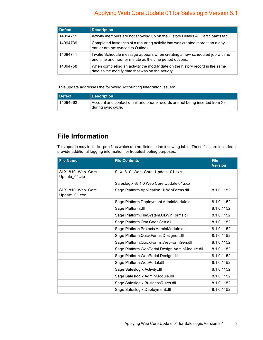| <b>Defect</b> | <b>Description</b>                                                                                                                    |
|---------------|---------------------------------------------------------------------------------------------------------------------------------------|
| 14094715      | Activity members are not showing up on the History Details All Participants tab.                                                      |
| 14094739      | Completed instances of a recurring activity that was created more than a day<br>earlier are not synced to Outlook.                    |
| 14094741      | Invalid Schedule message appears when creating a new scheduled job with no<br>end time and hour or minute as the time period options. |
| 14094758      | When completing an activity the modify date on the history record is the same<br>date as the modify date that was on the activity.    |

This update addresses the following Accounting Integration issues:

| Defect   | Description                                                                                      |
|----------|--------------------------------------------------------------------------------------------------|
| 14094662 | Account and contact email and phone records are not being inserted from X3<br>during sync cycle. |

### **File Information**

This update may include . pdb files which are not listed in the following table. These files are included to provide additional logging information for troubleshooting purposes.

| <b>File Name</b>                   | <b>File Contents</b>                           | <b>File</b><br><b>Version</b> |
|------------------------------------|------------------------------------------------|-------------------------------|
| SLX_810_Web_Core_<br>Update_01.zip | SLX_810_Web_Core_Update_01.exe                 |                               |
|                                    | Saleslogix v8.1.0 Web Core Update 01.sxb       |                               |
| SLX_810_Web_Core_<br>Update_01.exe | Sage.Platform.Application.UI.WinForms.dll      | 8.1.0.1152                    |
|                                    | Sage.Platform.Deployment.AdminModule.dll       | 8.1.0.1152                    |
|                                    | Sage.Platform.dll                              | 8.1.0.1152                    |
|                                    | Sage.Platform.FileSystem.UI.WinForms.dll       | 8.1.0.1152                    |
|                                    | Sage.Platform.Orm.CodeGen.dll                  | 8.1.0.1152                    |
|                                    | Sage.Platform.Projects.AdminModule.dll         | 8.1.0.1152                    |
|                                    | Sage.Platform.QuickForms.Designer.dll          | 8.1.0.1152                    |
|                                    | Sage.Platform.QuickForms.WebFormGen.dll        | 8.1.0.1152                    |
|                                    | Sage.Platform.WebPortal.Design.AdminModule.dll | 8.1.0.1152                    |
|                                    | Sage.Platform.WebPortal.Design.dll             | 8.1.0.1152                    |
|                                    | Sage.Platform.WebPortal.dll                    | 8.1.0.1152                    |
|                                    | Sage.Saleslogix.Activity.dll                   | 8.1.0.1152                    |
|                                    | Sage.Saleslogix.AdminModule.dll                | 8.1.0.1152                    |
|                                    | Sage.Saleslogix.BusinessRules.dll              | 8.1.0.1152                    |
|                                    | Sage.Saleslogix.Deployment.dll                 | 8.1.0.1152                    |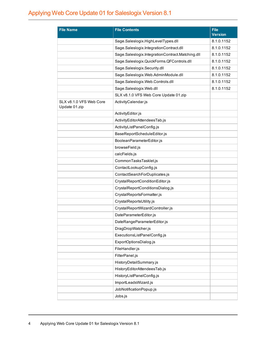| <b>File Name</b>                         | <b>File Contents</b>                             | <b>File</b><br><b>Version</b> |
|------------------------------------------|--------------------------------------------------|-------------------------------|
|                                          | Sage.Saleslogix.HighLevelTypes.dll               | 8.1.0.1152                    |
|                                          | Sage.Saleslogix.IntegrationContract.dll          | 8.1.0.1152                    |
|                                          | Sage.Saleslogix.IntegrationContract.Matching.dll | 8.1.0.1152                    |
|                                          | Sage.Saleslogix.QuickForms.QFControls.dll        | 8.1.0.1152                    |
|                                          | Sage.Saleslogix.Security.dll                     | 8.1.0.1152                    |
|                                          | Sage.Saleslogix.Web.AdminModule.dll              | 8.1.0.1152                    |
|                                          | Sage.Saleslogix.Web.Controls.dll                 | 8.1.0.1152                    |
|                                          | Sage.Saleslogix.Web.dll                          | 8.1.0.1152                    |
|                                          | SLX v8.1.0 VFS Web Core Update 01.zip            |                               |
| SLX v8.1.0 VFS Web Core<br>Update 01.zip | ActivityCalendar.js                              |                               |
|                                          | ActivityEditor.js                                |                               |
|                                          | ActivityEditorAttendeesTab.js                    |                               |
|                                          | ActivityListPanelConfig.js                       |                               |
|                                          | BaseReportScheduleEditor.js                      |                               |
|                                          | BooleanParameterEditor.js                        |                               |
|                                          | browseField.js                                   |                               |
|                                          | calcFields.js                                    |                               |
|                                          | CommonTasksTasklet.js                            |                               |
|                                          | ContactLookupConfig.js                           |                               |
|                                          | ContactSearchForDuplicates.js                    |                               |
|                                          | CrystalReportConditionEditor.js                  |                               |
|                                          | CrystalReportConditionsDialog.js                 |                               |
|                                          | CrystalReportsFormatter.js                       |                               |
|                                          | CrystalReportsUtility.js                         |                               |
|                                          | CrystalReportWizardController.js                 |                               |
|                                          | DateParameterEditor.js                           |                               |
|                                          | DateRangeParameterEditor.js                      |                               |
|                                          | DragDropWatcher.js                               |                               |
|                                          | ExecutionsListPanelConfig.js                     |                               |
|                                          | ExportOptionsDialog.js                           |                               |
|                                          | FileHandler.js                                   |                               |
|                                          | FilterPanel.js                                   |                               |
|                                          | HistoryDetailSummary.js                          |                               |
|                                          | HistoryEditorAttendeesTab.js                     |                               |
|                                          | HistoryListPanelConfig.js                        |                               |
|                                          | ImportLeadsWizard.js                             |                               |
|                                          | JobNotificationPopup.js                          |                               |
|                                          | Jobs.js                                          |                               |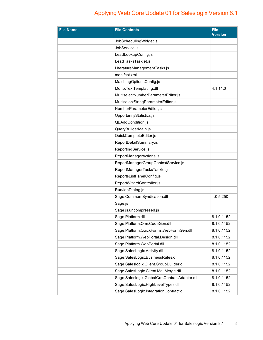| <b>File Name</b> | <b>File Contents</b>                         | <b>File</b><br><b>Version</b> |
|------------------|----------------------------------------------|-------------------------------|
|                  | JobSchedulingWidget.js                       |                               |
|                  | JobService.js                                |                               |
|                  | LeadLookupConfig.js                          |                               |
|                  | LeadTasksTasklet.js                          |                               |
|                  | LiteratureManagementTasks.js                 |                               |
|                  | manifest.xml                                 |                               |
|                  | MatchingOptionsConfig.js                     |                               |
|                  | Mono.TextTemplating.dll                      | 4.1.11.0                      |
|                  | MultiselectNumberParameterEditor.js          |                               |
|                  | MultiselectStringParameterEditor.js          |                               |
|                  | NumberParameterEditor.js                     |                               |
|                  | OpportunityStatistics.js                     |                               |
|                  | QBAddCondition.js                            |                               |
|                  | QueryBuilderMain.js                          |                               |
|                  | QuickCompleteEditor.js                       |                               |
|                  | ReportDetailSummary.js                       |                               |
|                  | ReportingService.js                          |                               |
|                  | ReportManagerActions.js                      |                               |
|                  | ReportManagerGroupContextService.js          |                               |
|                  | ReportManagerTasksTasklet.js                 |                               |
|                  | ReportsListPanelConfig.js                    |                               |
|                  | ReportWizardController.js                    |                               |
|                  | RunJobDialog.js                              |                               |
|                  | Sage.Common.Syndication.dll                  | 1.0.5.250                     |
|                  | Sage.js                                      |                               |
|                  | Sage.js.uncompressed.js                      |                               |
|                  | Sage.Platform.dll                            | 8.1.0.1152                    |
|                  | Sage.Platform.Orm.CodeGen.dll                | 8.1.0.1152                    |
|                  | Sage.Platform.QuickForms.WebFormGen.dll      | 8.1.0.1152                    |
|                  | Sage.Platform.WebPortal.Design.dll           | 8.1.0.1152                    |
|                  | Sage.Platform.WebPortal.dll                  | 8.1.0.1152                    |
|                  | Sage.SalesLogix.Activity.dll                 | 8.1.0.1152                    |
|                  | Sage.SalesLogix.BusinessRules.dll            | 8.1.0.1152                    |
|                  | Sage.Saleslogix.Client.GroupBuilder.dll      | 8.1.0.1152                    |
|                  | Sage.SalesLogix.Client.MailMerge.dll         | 8.1.0.1152                    |
|                  | Sage.Saleslogix.GlobalCrmContractAdapter.dll | 8.1.0.1152                    |
|                  | Sage.SalesLogix.HighLevelTypes.dll           | 8.1.0.1152                    |
|                  | Sage.SalesLogix.IntegrationContract.dll      | 8.1.0.1152                    |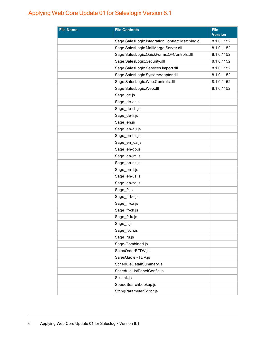| <b>File Name</b> | <b>File Contents</b>                             | <b>File</b><br><b>Version</b> |
|------------------|--------------------------------------------------|-------------------------------|
|                  | Sage.SalesLogix.IntegrationContract.Matching.dll | 8.1.0.1152                    |
|                  | Sage.SalesLogix.MailMerge.Server.dll             | 8.1.0.1152                    |
|                  | Sage.SalesLogix.QuickForms.QFControls.dll        | 8.1.0.1152                    |
|                  | Sage.SalesLogix.Security.dll                     | 8.1.0.1152                    |
|                  | Sage.SalesLogix.Services.Import.dll              | 8.1.0.1152                    |
|                  | Sage.SalesLogix.SystemAdapter.dll                | 8.1.0.1152                    |
|                  | Sage.SalesLogix.Web.Controls.dll                 | 8.1.0.1152                    |
|                  | Sage.SalesLogix.Web.dll                          | 8.1.0.1152                    |
|                  | Sage_de.js                                       |                               |
|                  | Sage_de-at.js                                    |                               |
|                  | Sage_de-ch.js                                    |                               |
|                  | Sage de-li.js                                    |                               |
|                  | Sage_en.js                                       |                               |
|                  | Sage_en-au.js                                    |                               |
|                  | Sage_en-bz.js                                    |                               |
|                  | Sage_en_ca.js                                    |                               |
|                  | Sage_en-gb.js                                    |                               |
|                  | Sage_en-jm.js                                    |                               |
|                  | Sage_en-nz.js                                    |                               |
|                  | Sage_en-tt.js                                    |                               |
|                  | Sage_en-us.js                                    |                               |
|                  | Sage_en-za.js                                    |                               |
|                  | Sage_fr.js                                       |                               |
|                  | Sage_fr-be.js                                    |                               |
|                  | Sage_fr-ca.js                                    |                               |
|                  | Sage_fr-ch.js                                    |                               |
|                  | Sage_fr-lu.js                                    |                               |
|                  | Sage_it.js                                       |                               |
|                  | Sage_it-ch.js                                    |                               |
|                  | Sage_ru.js                                       |                               |
|                  | Sage-Combined.js                                 |                               |
|                  | SalesOrderRTDV.js                                |                               |
|                  | SalesQuoteRTDV.js                                |                               |
|                  | ScheduleDetailSummary.js                         |                               |
|                  | ScheduleListPanelConfig.js                       |                               |
|                  | SIxLink.js                                       |                               |
|                  | SpeedSearchLookup.js                             |                               |
|                  | StringParameterEditor.js                         |                               |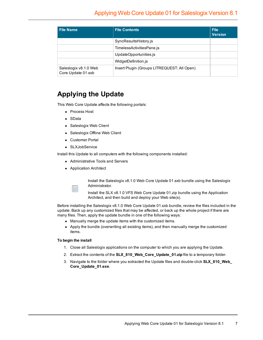| <b>File Name</b>                            | <b>File Contents</b>                        | <b>File</b><br><b>Version</b> |
|---------------------------------------------|---------------------------------------------|-------------------------------|
|                                             | SyncResultsHistory.js                       |                               |
|                                             | TimelessActivitiesPane.js                   |                               |
|                                             | UpdateOpportunities.js                      |                               |
|                                             | WidgetDefinition.js                         |                               |
| Saleslogix v8.1.0 Web<br>Core Update 01.sxb | Insert Plugin (Groups LITREQUEST: All Open) |                               |

#### **Applying the Update**

This Web Core Update affects the following portals:

- Process Host
- SData
- Saleslogix Web Client
- Saleslogix Offline Web Client
- Customer Portal
- SLXJobService

Install this Update to all computers with the following components installed:

- Administrative Tools and Servers
- Application Architect

Install the Saleslogix v8.1.0 Web Core Update 01.sxb bundle using the Saleslogix Administrator.

Install the SLX v8.1.0 VFS Web Core Update 01.zip bundle using the Application Architect, and then build and deploy your Web site(s).

Before installing the Saleslogix v8.1.0 Web Core Update 01.sxb bundle, review the files included in the update. Back up any customized files that may be affected, or back up the whole project if there are many files. Then, apply the update bundle in one of the following ways:

- Manually merge the update items with the customized items.
- Apply the bundle (overwriting all existing items), and then manually merge the customized items.

#### **To begin the install**

- 1. Close all Saleslogix applications on the computer to which you are applying the Update.
- 2. Extract the contents of the **SLX\_810\_Web\_Core\_Update\_01.zip** file to a temporary folder.
- 3. Navigate to the folder where you extracted the Update files and double-click **SLX\_810\_Web\_ Core\_Update\_01.exe**.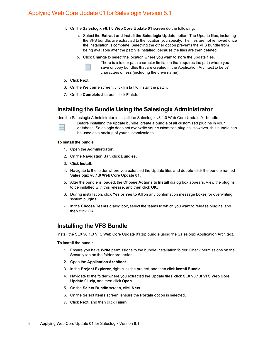- 4. On the **Saleslogix v8.1.0 Web Core Update 01** screen do the following:
	- a. Select the **Extract and Install the Saleslogix Update** option. The Update files, including the VFS bundle, are extracted to the location you specify. The files are not removed once the installation is complete. Selecting the other option prevents the VFS bundle from being available after the patch is installed, because the files are then deleted.
	- b. Click **Change** to select the location where you want to store the update files.



There is a folder path character limitation that requires the path where you save or copy bundles that are created in the Application Architect to be 57 characters or less (including the drive name).

- 5. Click **Next**.
- 6. On the **Welcome** screen, click **Install** to install the patch.
- 7. On the **Completed** screen, click **Finish**.

#### **Installing the Bundle Using the Saleslogix Administrator**

Use the Saleslogix Administrator to install the Saleslogix v8.1.0 Web Core Update 01 bundle.



Before installing the update bundle, create a bundle of all customized plugins in your database. Saleslogix does not overwrite your customized plugins. However, this bundle can be used as a backup of your customizations.

#### **To install the bundle**

- 1. Open the **Administrator**.
- 2. On the **Navigation Bar**, click **Bundles**.
- 3. Click **Install**.
- 4. Navigate to the folder where you extracted the Update files and double-click the bundle named **Saleslogix v8.1.0 Web Core Update 01**.
- 5. After the bundle is loaded, the **Choose Actions to Install** dialog box appears. View the plugins to be installed with this release, and then click **OK**.
- 6. During installation, click **Yes** or **Yes to All** on any confirmation message boxes for overwriting system plugins.
- 7. In the **Choose Teams** dialog box, select the teams to which you want to release plugins, and then click **OK**.

#### **Installing the VFS Bundle**

Install the SLX v8.1.0 VFS Web Core Update 01.zip bundle using the Saleslogix Application Architect.

#### **To install the bundle**

- 1. Ensure you have **Write** permissions to the bundle installation folder. Check permissions on the Security tab on the folder properties.
- 2. Open the **Application Architect**.
- 3. In the **Project Explorer**, right-click the project, and then click **Install Bundle**.
- 4. Navigate to the folder where you extracted the Update files, click **SLX v8.1.0 VFS Web Core Update 01.zip**, and then click **Open**.
- 5. On the **Select Bundle** screen, click **Next**.
- 6. On the **Select Items** screen, ensure the **Portals** option is selected.
- 7. Click **Next**, and then click **Finish**.